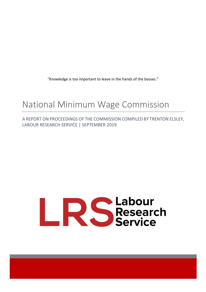"Knowledge is too important to leave in the hands of the bosses."

# National Minimum Wage Commission

A REPORT ON PROCEEDINGS OF THE COMMISSION COMPILED BY TRENTON ELSLEY, LABOUR RESEARCH SERVICE | SEPTEMBER 2019

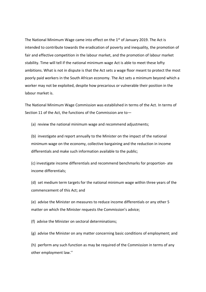The National Minimum Wage came into effect on the  $1<sup>st</sup>$  of January 2019. The Act is intended to contribute towards the eradication of poverty and inequality, the promotion of fair and effective competition in the labour market, and the promotion of labour market stability. Time will tell if the national minimum wage Act is able to meet these lofty ambitions. What is not in dispute is that the Act sets a wage floor meant to protect the most poorly paid workers in the South African economy. The Act sets a minimum beyond which a worker may not be exploited, despite how precarious or vulnerable their position in the labour market is.

The National Minimum Wage Commission was established in terms of the Act. In terms of Section 11 of the Act, the functions of the Commission are to—

(a) review the national minimum wage and recommend adjustments;

(b) investigate and report annually to the Minister on the impact of the national minimum wage on the economy, collective bargaining and the reduction in income differentials and make such information available to the public;

(c) investigate income differentials and recommend benchmarks for proportion- ate income differentials;

(d) set medium term targets for the national minimum wage within three years of the commencement of this Act; and

(e) advise the Minister on measures to reduce income differentials or any other 5 matter on which the Minister requests the Commission's advice;

(f) advise the Minister on sectoral determinations;

(g) advise the Minister on any matter concerning basic conditions of employment; and

(h) perform any such function as may be required of the Commission in terms of any other employment law.''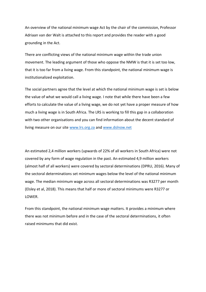An overview of the national minimum wage Act by the chair of the commission, Professor Adriaan van der Walt is attached to this report and provides the reader with a good grounding in the Act.

There are conflicting views of the national minimum wage within the trade union movement. The leading argument of those who oppose the NMW is that it is set too low, that it is too far from a living wage. From this standpoint, the national minimum wage is institutionalized exploitation.

The social partners agree that the level at which the national minimum wage is set is below the value of what we would call a living wage. I note that while there have been a few efforts to calculate the value of a living wage, we do not yet have a proper measure of how much a living wage is in South Africa. The LRS is working to fill this gap in a collaboration with two other organisations and you can find information about the decent standard of living measure on our site [www.lrs.org.za](http://www.lrs.org.za/) and [www.dslnow.net](http://www.dslnow.net/)

An estimated 2,4 million workers (upwards of 22% of all workers in South Africa) were not covered by any form of wage regulation in the past. An estimated 4,9 million workers (almost half of all workers) were covered by sectoral determinations (DPRU, 2016). Many of the sectoral determinations set minimum wages below the level of the national minimum wage. The median minimum wage across all sectoral determinations was R3277 per month (Elsley et al, 2018). This means that half or more of sectoral minimums were R3277 or LOWER.

From this standpoint, the national minimum wage matters. It provides a minimum where there was not minimum before and in the case of the sectoral determinations, it often raised minimums that did exist.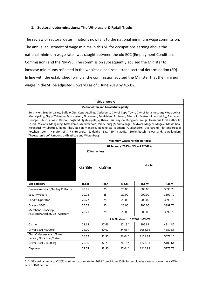#### **1. Sectoral determinations: The Wholesale & Retail Trade**

The review of sectoral determinations now falls to the national minimum wage commission. The annual adjustment of wage minima in this SD for occupations earning above the national minimum wage rate , was caught between the old ECC (Employment Conditions Commission) and the NMWC. The commission subsequently advised the Minister to increase minimums reflected in the wholesale and retail trade sectoral determination (SD). In line with the established formula, the commission advised the Minister that the minimum wages in the SD be adjusted upwards as of 1 June 2019 by 4,53%.

#### **Table 1: Area A**

#### **Metropolitan and Local Municipality**

Bergrivier, Breede Valley, Buffalo City, Cape Agulhas, Cederberg, City of Cape Town, City of Johannesburg Metropolitan Municipality, City of Tshwane, Drakenstein, Ekurhuleni, Emalahleni, Emfuleni, Ethekwini Metropolitan Unicity, Gamagara, George, Hibiscus Coast, Karoo Hoogland, Kgatelopele, //Khara Hais, Knysna, Kungwini, Kouga, Hessequa local authority, Lesedi, Makana, Mangaung, Matzikama, Metsimaholo, Middelburg (Mpumalanga), Midvaal, Mngeni, Mogale, Mosselbaai, Msunduzi, Mtubatuba, Nama Khoi, Nelson Mandela, Nokeng tsa Taemane, Oudtshoorn, Overstrand, Plettenbergbaai, Potchefstroom, Randfontein, Richtersveld, Saldanha Bay, Sol Plaatjie, Stellenbosch, Swartland, Swellendam, Theewaterskloof, Umdoni, uMhlathuze and Witzenberg.

|                                                       | Minimum wages for the periods:         |                |          |         |         |
|-------------------------------------------------------|----------------------------------------|----------------|----------|---------|---------|
|                                                       | 01 January 2019 - NMWA REVIEW          |                |          |         |         |
|                                                       |                                        | 27 Hrs or less | CI 2(2)  |         |         |
|                                                       | Cl 2 (3)(b)                            | Cl 2(3)(a)     |          |         |         |
| <b>Job category</b>                                   | R.p.h                                  | R.p.h          | R.p.h.   | R.p.w   | R.p.m   |
| <b>General Assistant/Trolley Collector</b>            | 20.81                                  | 25             | 20.00    | 900.00  | 3899.70 |
| Security Guard                                        | 20.73                                  | 25             | 20.00    | 900.00  | 3899.70 |
| Forklift Operator                                     | 20.72                                  | 25             | 20.00    | 900.00  | 3899.70 |
| Driver < 3500kg                                       | 20.72                                  | 25             | 20.00    | 900.00  | 3899.70 |
| Merchandiser/Shop<br>Assistant/Checker/Deli Assistant | 20.71                                  | 25             | 20.00    | 900.00  | 3899.70 |
|                                                       | 1 June 2019 <sup>1</sup> - NMWA REVIEW |                |          |         |         |
| Cashier                                               | 22.68                                  | 27.66          | $22.13*$ | 995.81  | 4314.82 |
| Driver 3501 <9000kg                                   | 24.70                                  | 30.07          | 24.05*   | 1082.36 | 4689.85 |
| Clerk/Sales Assistant/Sales<br>person/Block man/Baker | 26.72                                  | 32.55          | 26.04*   | 1171.73 | 5077.10 |
| Driver 9001 <16000kg                                  | 26.90                                  | 32.73          | $26.18*$ | 1178.31 | 5105.64 |
| Displayer                                             | 27.74                                  | 33.80          | 27.04*   | 1216.89 | 5272.77 |

<sup>1 \*4.53%</sup> Adjustment to Cl 2(2) minimum wage rate for 2018 from 1 June 2019, for employees earning above the NMWA rate of R20 per hour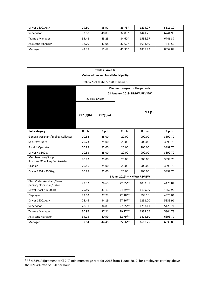| Driver $16001kg >$       | 29.50 | 35.97 | 28.78*   | 1294.97 | 5611.10 |
|--------------------------|-------|-------|----------|---------|---------|
| Supervisor               | 32.88 | 40.03 | $32.03*$ | 1441.26 | 6244.98 |
| <b>Trainee Manager</b>   | 35.48 | 43.25 | $34.60*$ | 1556.97 | 6746.37 |
| <b>Assistant Manager</b> | 38.70 | 47.08 | $37.66*$ | 1694.80 | 7343.56 |
| Manager                  | 42.38 | 51.62 | $41.30*$ | 1858.49 | 8052.84 |

| Table 2: Area B                                       |                                        |                |           |         |         |  |
|-------------------------------------------------------|----------------------------------------|----------------|-----------|---------|---------|--|
| <b>Metropolitan and Local Municipality</b>            |                                        |                |           |         |         |  |
| AREAS NOT MENTIONED IN AREA A                         |                                        |                |           |         |         |  |
| Minimum wages for the periods:                        |                                        |                |           |         |         |  |
|                                                       | 01 January 2019- NMWA REVIEW           |                |           |         |         |  |
|                                                       |                                        | 27 Hrs or less |           |         |         |  |
|                                                       | Cl 2 (3)(b)                            | Cl 2(3)(a)     | Cl 2(2)   |         |         |  |
| Job category                                          | R.p.h                                  | R.p.h          | R.p.h.    | R.p.w   | R.p.m   |  |
| General Assistant/Trolley Collector                   | 20.82                                  | 25.00          | 20.00     | 900.00  | 3899.70 |  |
| <b>Security Guard</b>                                 | 20.73                                  | 25.00          | 20.00     | 900.00  | 3899.70 |  |
| Forklift Operator                                     | 20.89                                  | 25.00          | 20.00     | 900.00  | 3899.70 |  |
| Driver < 3500kg                                       | 20.83                                  | 25.00          | 20.00     | 900.00  | 3899.70 |  |
| Merchandiser/Shop<br>Assistant/Checker/Deli Assistant | 20.82                                  | 25.00          | 20.00     | 900.00  | 3899.70 |  |
| Cashier                                               | 20.86                                  | 25.00          | 20.00     | 900.00  | 3899.70 |  |
| Driver 3501 <9000kg                                   | 20.85                                  | 25.00          | 20.00     | 900.00  | 3899.70 |  |
|                                                       | 1 June 2019 <sup>2</sup> - NMWA REVIEW |                |           |         |         |  |
| Clerk/Sales Assistant/Sales<br>person/Block man/Baker | 23.92                                  | 28.69          | 22.95**   | 1032.97 | 4475.84 |  |
| Driver 9001 <16000kg                                  | 25.89                                  | 31.11          | 24.89**   | 1119.99 | 4852.90 |  |
| Displayer                                             | 23.02                                  | 27.73          | 22.18**   | 998.16  | 4325.01 |  |
| Driver 16001kg >                                      | 28.46                                  | 34.19          | $27.36**$ | 1231.00 | 5333.91 |  |
| Supervisor                                            | 28.91                                  | 34.81          | 27.85**   | 1253.11 | 5429.71 |  |
| <b>Trainee Manager</b>                                | 30.97                                  | 37.21          | 29.77**   | 1339.66 | 5804.73 |  |
| <b>Assistant Manager</b>                              | 34.15                                  | 40.99          | 32.79**   | 1475.60 | 6393.77 |  |
| Manager                                               | 37.04                                  | 44.45          | 35.56**   | 1600.25 | 6933.88 |  |

<sup>2</sup> \*\* 4.53% Adjustment to Cl 2(2) minimum wage rate for 2018 from 1 June 2019, for employees earning above the NMWA rate of R20 per hour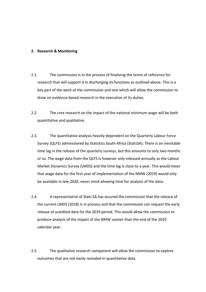#### **2. Research & Monitoring**

- 2.1. The commission is in the process of finalising the terms of reference for research that will support it in discharging its functions as outlined above. This is a key part of the work of the commission and one which will allow the commission to draw on evidence-based research in the execution of its duties.
- 2.2. The core research on the impact of the national minimum wage will be both quantitative and qualitative.
- 2.3. The quantitative analysis heavily dependent on the Quarterly Labour Force Survey (QLFS) administered by Statistics South Africa (StatsSA). There is an inevitable time lag in the release of the quarterly surveys, but this amounts to only two months or so. The wage data from the QLFS is however only released annually as the Labour Market Dynamics Survey (LMDS) and the time lag is close to a year. This would mean that wage data for the first year of implementation of the NMW (2019) would only be available in late 2020, never mind allowing time for analysis of the data.
- 2.4. A representative of Stats SA has assured the commission that the release of the current LMDS (2018) is in process and that the commission can request the early release of unedited data for the 2019 period. This would allow the commission to produce analysis of the impact of the NMW sooner than the end of the 2020 calendar year.
- 2.5. The qualitative research component will allow the commission to explore outcomes that are not easily revealed in quantitative data.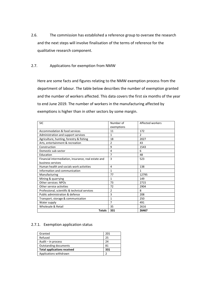- 2.6. The commission has established a reference group to oversee the research and the next steps will involve finalisation of the terms of reference for the qualitative research component.
- 2.7. Applications for exemption from NMW

Here are some facts and figures relating to the NMW exemption process from the department of labour. The table below describes the number of exemption granted and the number of workers affected. This data covers the first six months of the year to end June 2019. The number of workers in the manufacturing affected by exemptions is higher than in other sectors by some margin.

| <b>SIC</b>                                           | Number of      | Affected workers |
|------------------------------------------------------|----------------|------------------|
|                                                      | exemptions     |                  |
| Accommodation & food services                        | 11             | 172              |
| Administration and support services                  | 1              | $\mathfrak{p}$   |
| Agriculture, hunting, forestry & fishing             | 18             | 2027             |
| Arts, entertainment & recreation                     | $\overline{2}$ | 43               |
| Construction                                         | 9              | 1543             |
| Domestic sub-sector                                  | 4              | 6                |
| Education                                            | 7              | 48               |
| Financial intermediation, insurance, real estate and | 3              | 523              |
| business services                                    |                |                  |
| Human health and socials work activities             | 4              | 138              |
| Information and communication                        | 1              | 1                |
| Manufacturing                                        | 77             | 12795            |
| Mining & quarrying                                   | 1              | 149              |
| Other services: NPOs                                 | 73             | 2715             |
| Other service activities                             | 72             | 2904             |
| Professional, scientific & technical services        | $\overline{2}$ | 8                |
| Public administration & defence                      | 3              | 208              |
| Transport, storage & communication                   | $\mathbf{1}$   | 250              |
| Water supply                                         | $\overline{7}$ | 491              |
| Wholesale & Retail                                   | 35             | 2616             |
| <b>Totals</b>                                        | 331            | 26467            |

#### 2.7.1. Exemption application status

| Granted                            | 201 |
|------------------------------------|-----|
| Refused                            | 25  |
| Audit $-$ in process               | 24  |
| <b>Outstanding documents</b>       | 81  |
| <b>Total applications received</b> | 331 |
| Applications withdrawn             | າ   |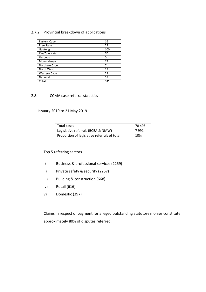## 2.7.2. Provincial breakdown of applications

| Eastern Cape        | 16  |
|---------------------|-----|
| <b>Free State</b>   | 29  |
| Gauteng             | 100 |
| KwaZulu Natal       | 70  |
| Limpopo             | O   |
| Mpumalanga          | 17  |
| Northern Cape       | 7   |
| North West          | 15  |
| <b>Western Cape</b> | 22  |
| National            | 55  |
| <b>Total</b>        | 331 |

#### 2.8. CCMA case referral statistics

### January 2019 to 21 May 2019

| Total cases                                  | 78 495 |
|----------------------------------------------|--------|
| Legislative referrals (BCEA & NMW)           | 7991   |
| Proportion of legislative referrals of total | 10%    |

### Top 5 referring sectors

- i) Business & professional services (2259)
- ii) Private safety & security (2267)
- iii) Building & construction (668)
- iv) Retail (616)
- v) Domestic (397)

Claims in respect of payment for alleged outstanding statutory monies constitute approximately 80% of disputes referred.